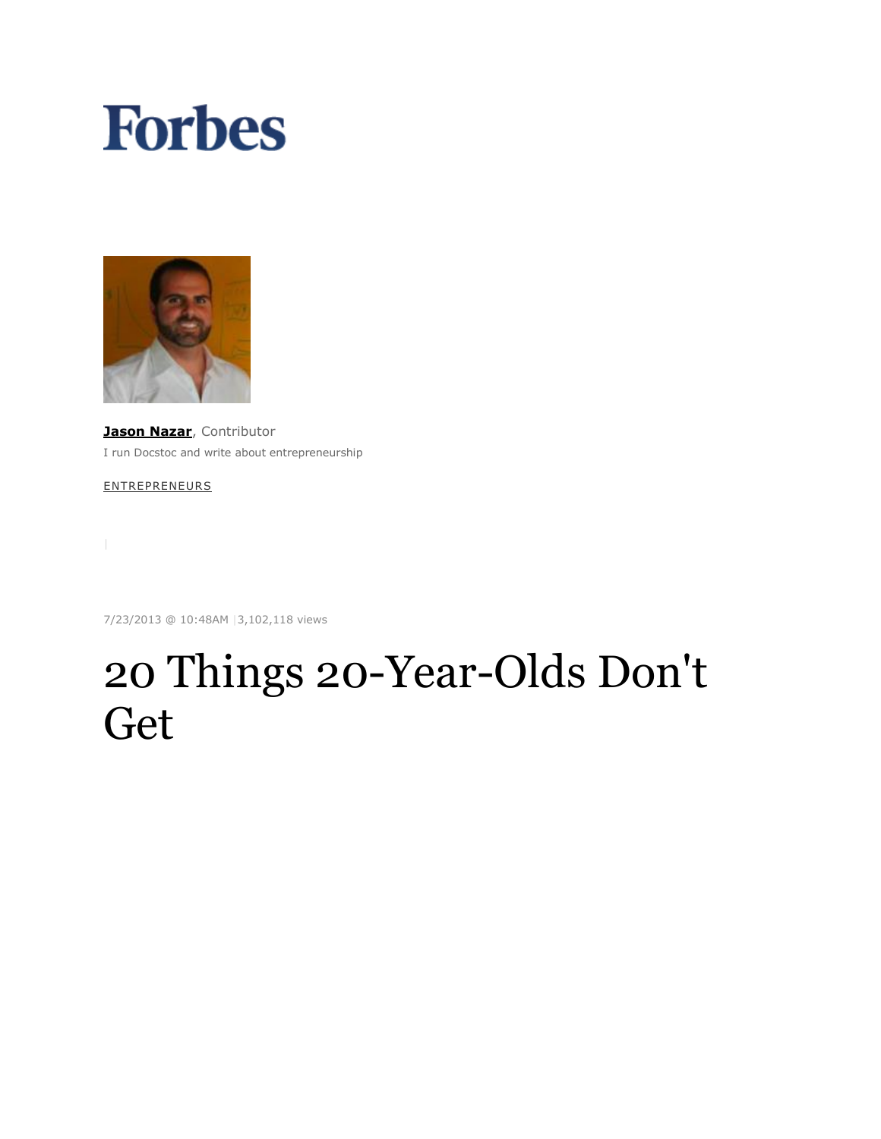## **Forbes**



**[Jason Nazar](http://www.forbes.com/sites/jasonnazar/)**, Contributor I run Docstoc and write about entrepreneurship

[ENTREPRENEURS](http://www.forbes.com/entrepreneurs)

7/23/2013 @ 10:48AM |3,102,118 views

## 20 Things 20-Year-Olds Don't Get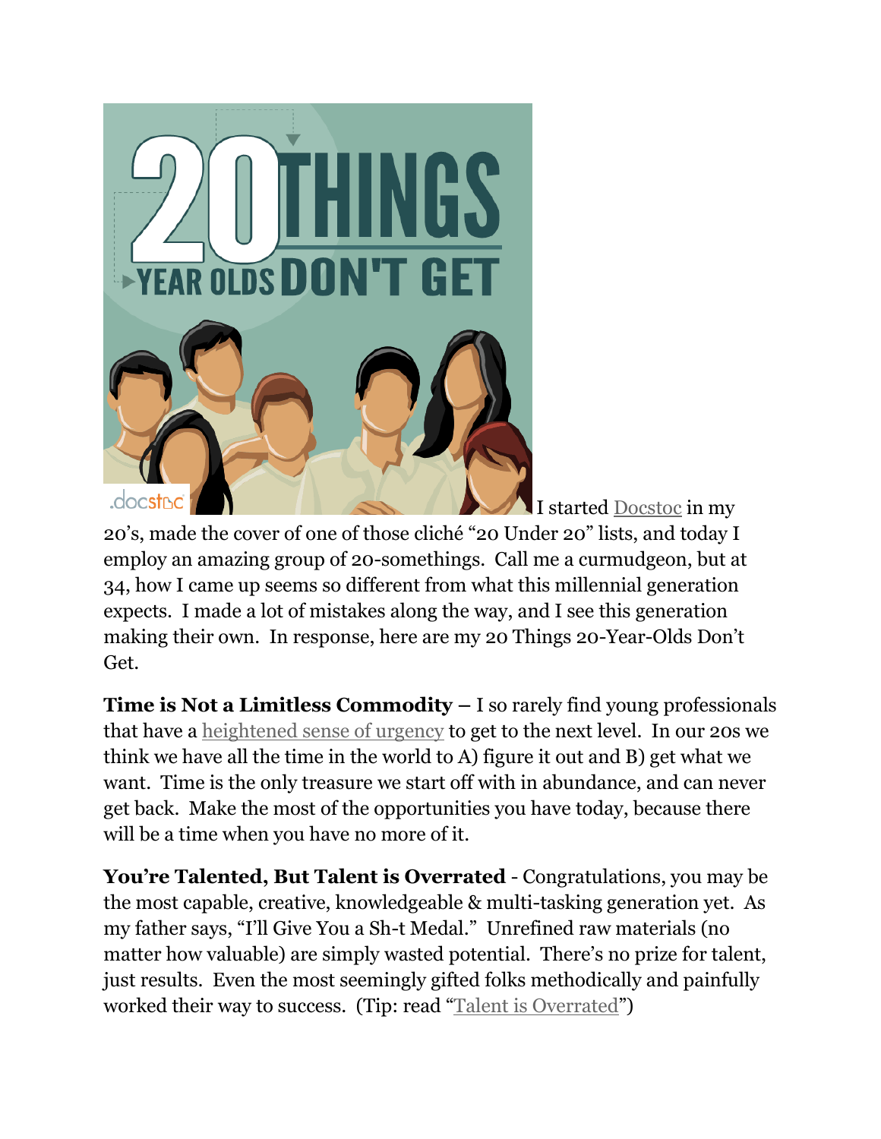

20's, made the cover of one of those cliché "20 Under 20" lists, and today I employ an amazing group of 20-somethings. Call me a curmudgeon, but at 34, how I came up seems so different from what this millennial generation expects. I made a lot of mistakes along the way, and I see this generation making their own. In response, here are my 20 Things 20-Year-Olds Don't Get.

I started [Docstoc](http://www.docstoc.com/) in my

**Time is Not a Limitless Commodity –** I so rarely find young professionals that have a [heightened sense of urgency](http://premium.docstoc.com/c/46/ch/236/l/1163/Urgency-and-Momentum) to get to the next level. In our 20s we think we have all the time in the world to A) figure it out and B) get what we want. Time is the only treasure we start off with in abundance, and can never get back. Make the most of the opportunities you have today, because there will be a time when you have no more of it.

**You're Talented, But Talent is Overrated** - Congratulations, you may be the most capable, creative, knowledgeable & multi-tasking generation yet. As my father says, "I'll Give You a Sh-t Medal." Unrefined raw materials (no matter how valuable) are simply wasted potential. There's no prize for talent, just results. Even the most seemingly gifted folks methodically and painfully worked their way to success. (Tip: read "[Talent is Overrated](http://www.amazon.com/Talent-Overrated-World-Class-Performers-EverybodyElse/dp/1591842948)")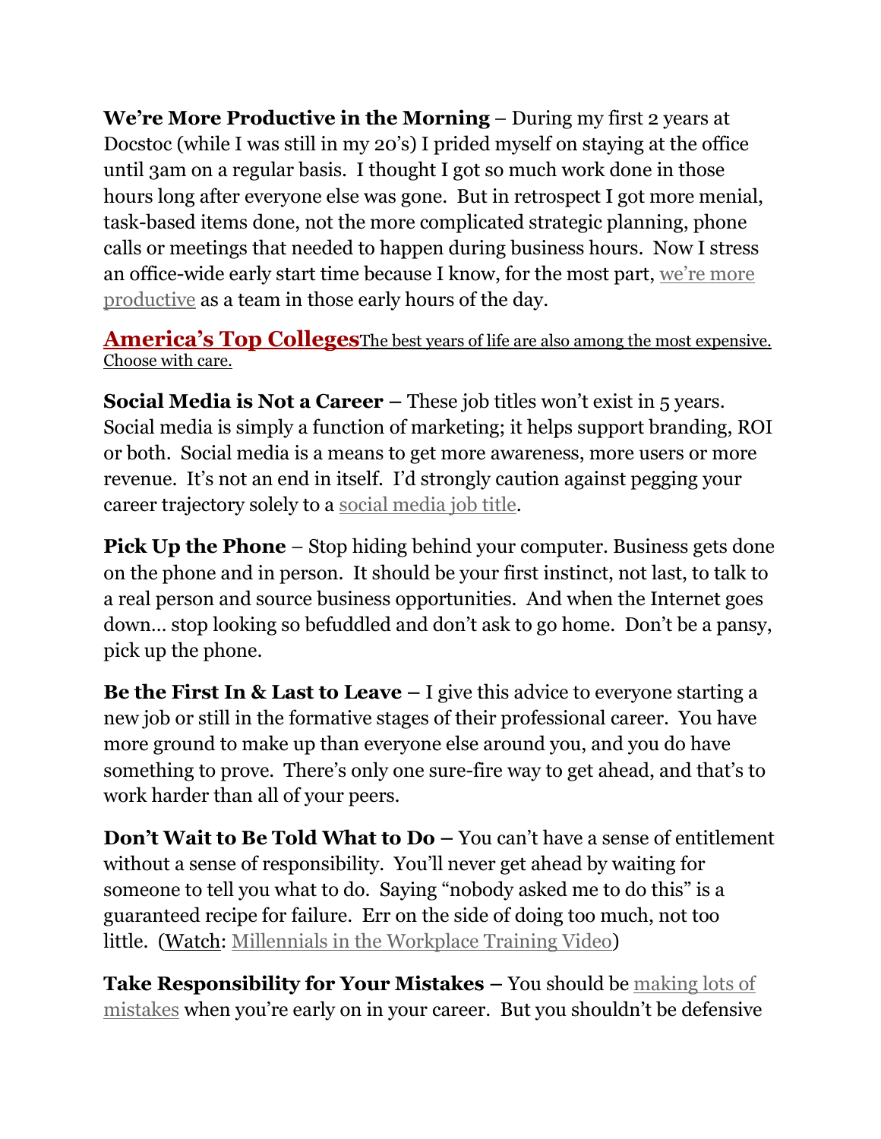**We're More Productive in the Morning** – During my first 2 years at Docstoc (while I was still in my 20's) I prided myself on staying at the office until 3am on a regular basis. I thought I got so much work done in those hours long after everyone else was gone. But in retrospect I got more menial, task-based items done, not the more complicated strategic planning, phone calls or meetings that needed to happen during business hours. Now I stress an office-wide early start time because I know, for the most part, [we're more](http://www.businessinsider.com/successful-early-risers-2012-1?op=1)  [productive](http://www.businessinsider.com/successful-early-risers-2012-1?op=1) as a team in those early hours of the day.

**[America's Top Colleges](http://www.forbes.com/top-colleges/)**[The best years of life are also among the most expensive.](http://www.forbes.com/top-colleges/)  [Choose with care.](http://www.forbes.com/top-colleges/)

**Social Media is Not a Career –** These job titles won't exist in 5 years. Social media is simply a function of marketing; it helps support branding, ROI or both. Social media is a means to get more awareness, more users or more revenue. It's not an end in itself. I'd strongly caution against pegging your career trajectory solely to a [social media job title.](http://memeburn.com/2013/05/21-ridiculous-social-media-job-titles/)

**Pick Up the Phone** – Stop hiding behind your computer. Business gets done on the phone and in person. It should be your first instinct, not last, to talk to a real person and source business opportunities. And when the Internet goes down… stop looking so befuddled and don't ask to go home. Don't be a pansy, pick up the phone.

**Be the First In & Last to Leave –** I give this advice to everyone starting a new job or still in the formative stages of their professional career. You have more ground to make up than everyone else around you, and you do have something to prove. There's only one sure-fire way to get ahead, and that's to work harder than all of your peers.

**Don't Wait to Be Told What to Do –** You can't have a sense of entitlement without a sense of responsibility. You'll never get ahead by waiting for someone to tell you what to do. Saying "nobody asked me to do this" is a guaranteed recipe for failure. Err on the side of doing too much, not too little. (Watch: [Millennials in the Workplace Training Video\)](http://www.youtube.com/watch?v=Sz0o9clVQu8)

**Take Responsibility for Your Mistakes –** You should be [making lots of](http://premium.docstoc.com/c/38/ch/191/l/1015/Repeat-Own-then-Make-New-Mistakes)  [mistakes](http://premium.docstoc.com/c/38/ch/191/l/1015/Repeat-Own-then-Make-New-Mistakes) when you're early on in your career. But you shouldn't be defensive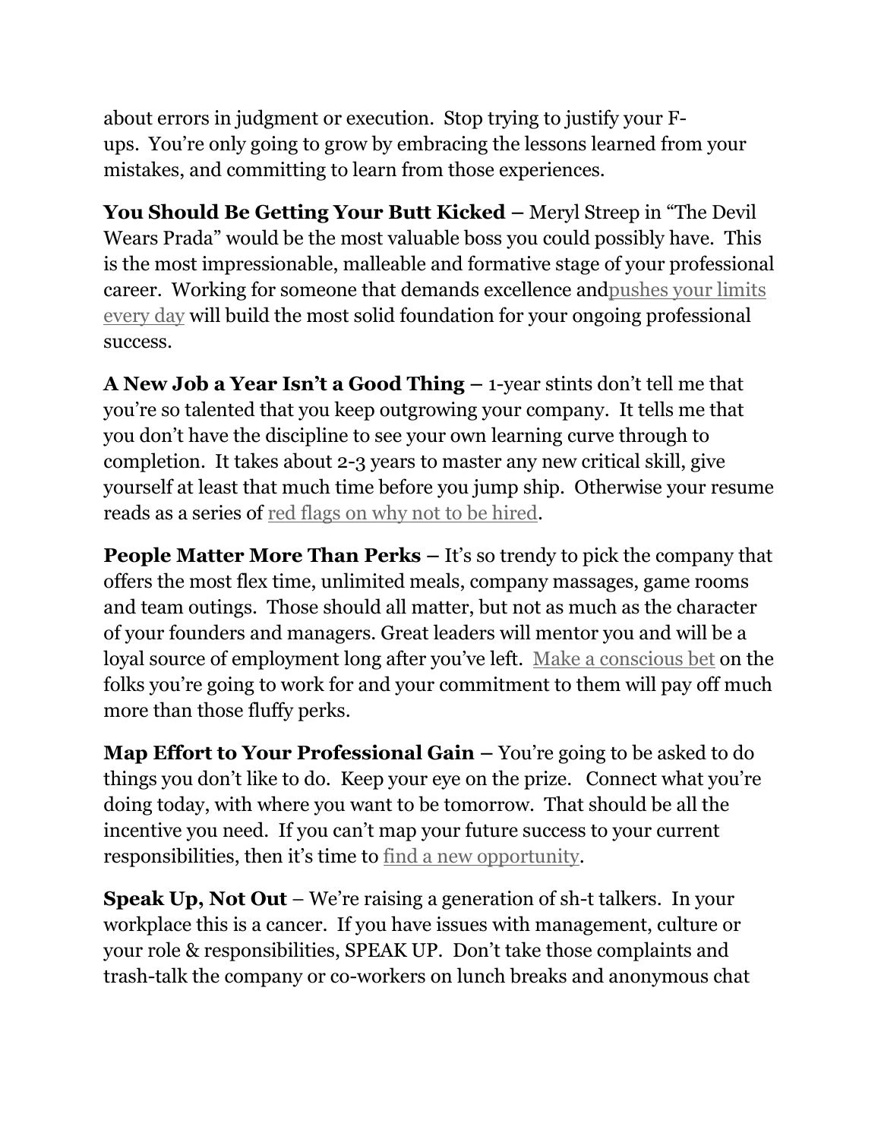about errors in judgment or execution. Stop trying to justify your Fups. You're only going to grow by embracing the lessons learned from your mistakes, and committing to learn from those experiences.

**You Should Be Getting Your Butt Kicked –** Meryl Streep in "The Devil Wears Prada" would be the most valuable boss you could possibly have. This is the most impressionable, malleable and formative stage of your professional career. Working for someone that demands excellence an[dpushes your limits](http://premium.docstoc.com/c/38/ch/191/l/1019/Kaizen---Improve-Everyday)  [every day](http://premium.docstoc.com/c/38/ch/191/l/1019/Kaizen---Improve-Everyday) will build the most solid foundation for your ongoing professional success.

**A New Job a Year Isn't a Good Thing –** 1-year stints don't tell me that you're so talented that you keep outgrowing your company. It tells me that you don't have the discipline to see your own learning curve through to completion. It takes about 2-3 years to master any new critical skill, give yourself at least that much time before you jump ship. Otherwise your resume reads as a series of [red flags on why not to be hired.](http://premium.docstoc.com/c/23/ch/80/l/328/Red-Flags-to-Look-Out-For)

**People Matter More Than Perks – It's so trendy to pick the company that** offers the most flex time, unlimited meals, company massages, game rooms and team outings. Those should all matter, but not as much as the character of your founders and managers. Great leaders will mentor you and will be a loyal source of employment long after you've left. [Make a conscious bet](http://scottberkun.com/2013/pick-your-own-boss/) on the folks you're going to work for and your commitment to them will pay off much more than those fluffy perks.

**Map Effort to Your Professional Gain –** You're going to be asked to do things you don't like to do. Keep your eye on the prize. Connect what you're doing today, with where you want to be tomorrow. That should be all the incentive you need. If you can't map your future success to your current responsibilities, then it's time to [find a new opportunity.](http://lifehacker.com/5948908/how-to-know-when-its-time-to-quit)

**Speak Up, Not Out** – We're raising a generation of sh-t talkers. In your workplace this is a cancer. If you have issues with management, culture or your role & responsibilities, SPEAK UP. Don't take those complaints and trash-talk the company or co-workers on lunch breaks and anonymous chat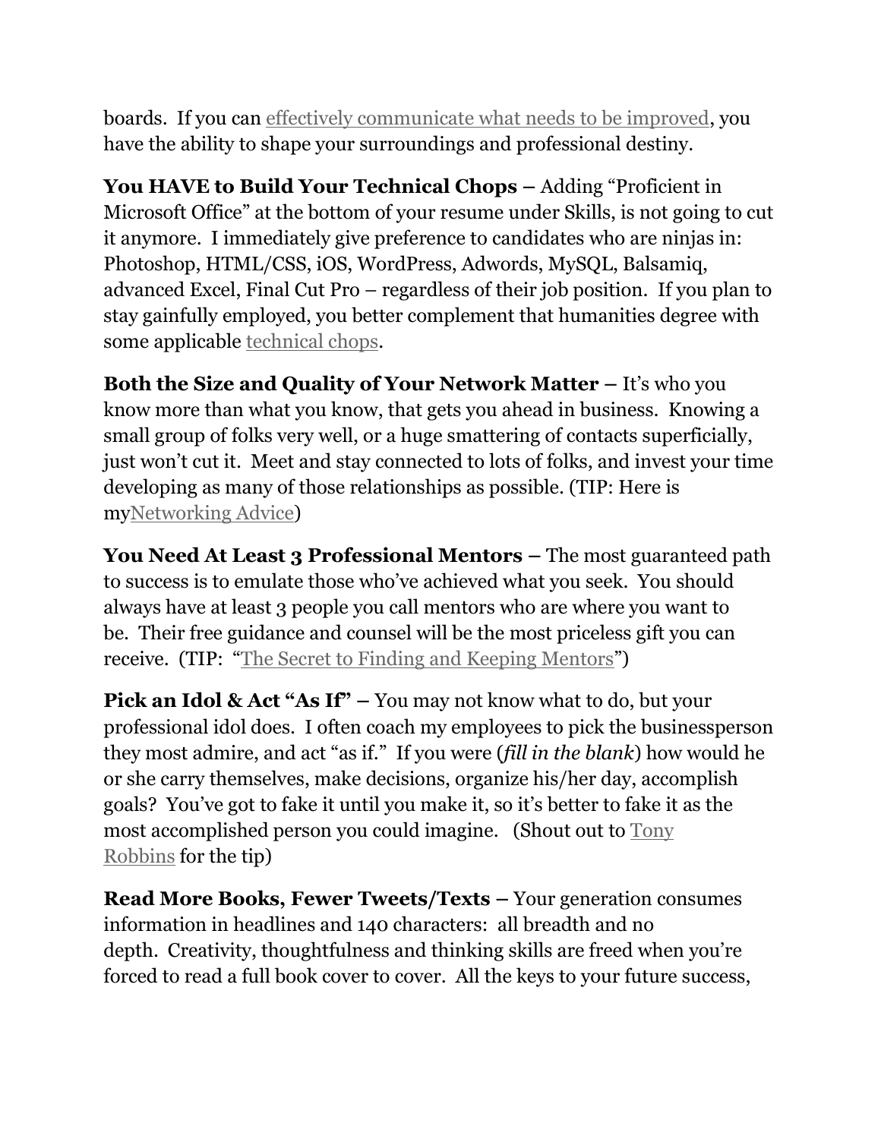boards. If you can [effectively communicate what needs to be improved,](http://premium.docstoc.com/video/102271314/How-to-Address-Problems-in-the-Workplace) you have the ability to shape your surroundings and professional destiny.

**You HAVE to Build Your Technical Chops –** Adding "Proficient in Microsoft Office" at the bottom of your resume under Skills, is not going to cut it anymore. I immediately give preference to candidates who are ninjas in: Photoshop, HTML/CSS, iOS, WordPress, Adwords, MySQL, Balsamiq, advanced Excel, Final Cut Pro – regardless of their job position. If you plan to stay gainfully employed, you better complement that humanities degree with some applicable [technical chops.](http://premium.docstoc.com/article/154782656/Online-Courses-for-Small-Businesses)

**Both the Size and Quality of Your Network Matter – It's who you** know more than what you know, that gets you ahead in business. Knowing a small group of folks very well, or a huge smattering of contacts superficially, just won't cut it. Meet and stay connected to lots of folks, and invest your time developing as many of those relationships as possible. (TIP: Here is m[yNetworking Advice\)](http://www.jasonnazar.com/2010/06/29/networking-tips-for-entrepreneurs/)

**You Need At Least 3 Professional Mentors –** The most guaranteed path to success is to emulate those who've achieved what you seek. You should always have at least 3 people you call mentors who are where you want to be. Their free guidance and counsel will be the most priceless gift you can receive. (TIP: "[The Secret to Finding and Keeping Mentors](http://blogs.wsj.com/accelerators/2013/05/24/jason-nazar-the-secret-to-getting-and-keeping-mentors/)")

**Pick an Idol & Act "As If"** – You may not know what to do, but your professional idol does. I often coach my employees to pick the businessperson they most admire, and act "as if." If you were (*fill in the blank*) how would he or she carry themselves, make decisions, organize his/her day, accomplish goals? You've got to fake it until you make it, so it's better to fake it as the most accomplished person you could imagine. (Shout out to [Tony](https://twitter.com/tonyrobbins)  [Robbins](https://twitter.com/tonyrobbins) for the tip)

**Read More Books, Fewer Tweets/Texts –** Your generation consumes information in headlines and 140 characters: all breadth and no depth. Creativity, thoughtfulness and thinking skills are freed when you're forced to read a full book cover to cover. All the keys to your future success,